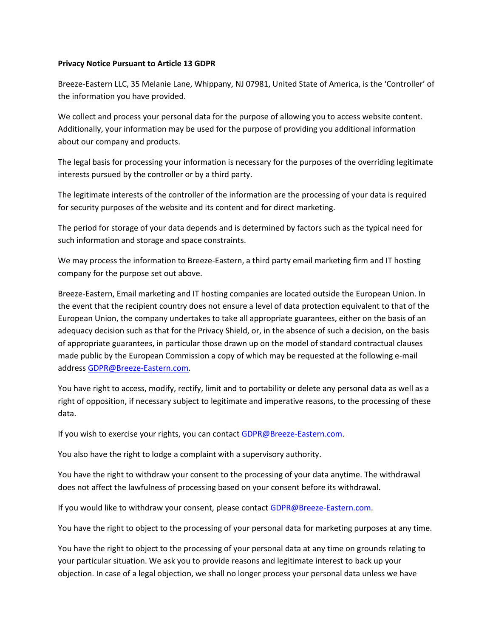## **Privacy Notice Pursuant to Article 13 GDPR**

Breeze-Eastern LLC, 35 Melanie Lane, Whippany, NJ 07981, United State of America, is the 'Controller' of the information you have provided.

We collect and process your personal data for the purpose of allowing you to access website content. Additionally, your information may be used for the purpose of providing you additional information about our company and products.

The legal basis for processing your information is necessary for the purposes of the overriding legitimate interests pursued by the controller or by a third party.

The legitimate interests of the controller of the information are the processing of your data is required for security purposes of the website and its content and for direct marketing.

The period for storage of your data depends and is determined by factors such as the typical need for such information and storage and space constraints.

We may process the information to Breeze-Eastern, a third party email marketing firm and IT hosting company for the purpose set out above.

Breeze-Eastern, Email marketing and IT hosting companies are located outside the European Union. In the event that the recipient country does not ensure a level of data protection equivalent to that of the European Union, the company undertakes to take all appropriate guarantees, either on the basis of an adequacy decision such as that for the Privacy Shield, or, in the absence of such a decision, on the basis of appropriate guarantees, in particular those drawn up on the model of standard contractual clauses made public by the European Commission a copy of which may be requested at the following e-mail address [GDPR@Breeze-Eastern.com.](mailto:GDPR@Breeze-Eastern.com)

You have right to access, modify, rectify, limit and to portability or delete any personal data as well as a right of opposition, if necessary subject to legitimate and imperative reasons, to the processing of these data.

If you wish to exercise your rights, you can contact **GDPR@Breeze-Eastern.com.** 

You also have the right to lodge a complaint with a supervisory authority.

You have the right to withdraw your consent to the processing of your data anytime. The withdrawal does not affect the lawfulness of processing based on your consent before its withdrawal.

If you would like to withdraw your consent, please contact [GDPR@Breeze-Eastern.com.](mailto:GDPR@Breeze-Eastern.com)

You have the right to object to the processing of your personal data for marketing purposes at any time.

You have the right to object to the processing of your personal data at any time on grounds relating to your particular situation. We ask you to provide reasons and legitimate interest to back up your objection. In case of a legal objection, we shall no longer process your personal data unless we have